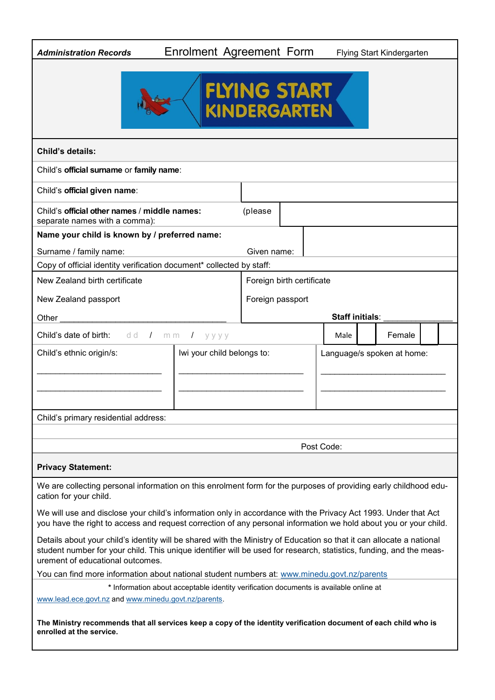| <b>Administration Records</b>                                                                                                                                                                                                                                                   | Enrolment Agreement Form                                 |                  |                           |                        | Flying Start Kindergarten |  |  |
|---------------------------------------------------------------------------------------------------------------------------------------------------------------------------------------------------------------------------------------------------------------------------------|----------------------------------------------------------|------------------|---------------------------|------------------------|---------------------------|--|--|
|                                                                                                                                                                                                                                                                                 | FLYING START<br>KINDERGARTEN                             |                  |                           |                        |                           |  |  |
| <b>Child's details:</b>                                                                                                                                                                                                                                                         |                                                          |                  |                           |                        |                           |  |  |
| Child's official surname or family name:                                                                                                                                                                                                                                        |                                                          |                  |                           |                        |                           |  |  |
| Child's official given name:                                                                                                                                                                                                                                                    |                                                          |                  |                           |                        |                           |  |  |
| Child's official other names / middle names:<br>separate names with a comma):                                                                                                                                                                                                   |                                                          | (please          |                           |                        |                           |  |  |
| Name your child is known by / preferred name:                                                                                                                                                                                                                                   |                                                          |                  |                           |                        |                           |  |  |
| Surname / family name:                                                                                                                                                                                                                                                          |                                                          | Given name:      |                           |                        |                           |  |  |
| Copy of official identity verification document* collected by staff:                                                                                                                                                                                                            |                                                          |                  |                           |                        |                           |  |  |
| New Zealand birth certificate                                                                                                                                                                                                                                                   |                                                          |                  | Foreign birth certificate |                        |                           |  |  |
| New Zealand passport                                                                                                                                                                                                                                                            |                                                          | Foreign passport |                           |                        |                           |  |  |
| Other                                                                                                                                                                                                                                                                           |                                                          |                  |                           | <b>Staff initials:</b> |                           |  |  |
| <b>Child's date of birth:</b> dd / mm                                                                                                                                                                                                                                           | $I$ yyyy                                                 |                  |                           | Male                   | Female                    |  |  |
| Child's ethnic origin/s:                                                                                                                                                                                                                                                        | Iwi your child belongs to:<br>Language/s spoken at home: |                  |                           |                        |                           |  |  |
| Child's primary residential address:                                                                                                                                                                                                                                            |                                                          |                  |                           |                        |                           |  |  |
| Post Code:                                                                                                                                                                                                                                                                      |                                                          |                  |                           |                        |                           |  |  |
| <b>Privacy Statement:</b>                                                                                                                                                                                                                                                       |                                                          |                  |                           |                        |                           |  |  |
| We are collecting personal information on this enrolment form for the purposes of providing early childhood edu-<br>cation for your child.                                                                                                                                      |                                                          |                  |                           |                        |                           |  |  |
| We will use and disclose your child's information only in accordance with the Privacy Act 1993. Under that Act<br>you have the right to access and request correction of any personal information we hold about you or your child.                                              |                                                          |                  |                           |                        |                           |  |  |
| Details about your child's identity will be shared with the Ministry of Education so that it can allocate a national<br>student number for your child. This unique identifier will be used for research, statistics, funding, and the meas-<br>urement of educational outcomes. |                                                          |                  |                           |                        |                           |  |  |
| You can find more information about national student numbers at: www.minedu.govt.nz/parents                                                                                                                                                                                     |                                                          |                  |                           |                        |                           |  |  |
| * Information about acceptable identity verification documents is available online at<br>www.lead.ece.govt.nz and www.minedu.govt.nz/parents.                                                                                                                                   |                                                          |                  |                           |                        |                           |  |  |
| The Ministry recommends that all services keep a copy of the identity verification document of each child who is<br>enrolled at the service.                                                                                                                                    |                                                          |                  |                           |                        |                           |  |  |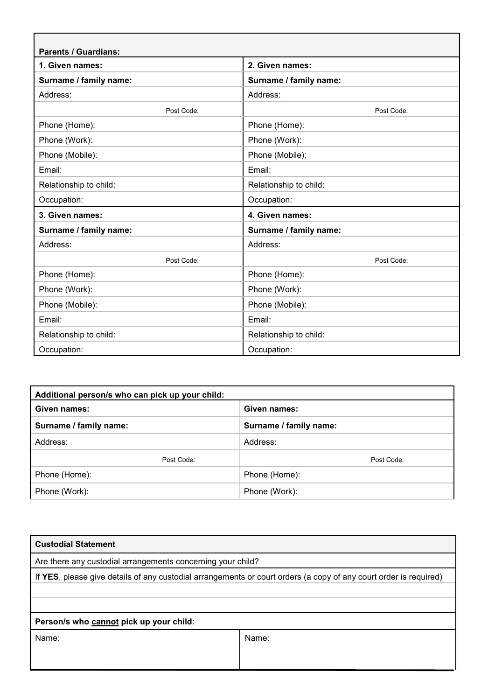| <b>Parents / Guardians:</b> |                        |
|-----------------------------|------------------------|
| 1. Given names:             | 2. Given names:        |
| Surname / family name:      | Surname / family name: |
| Address:                    | Address:               |
| Post Code:                  | Post Code:             |
| Phone (Home):               | Phone (Home):          |
| Phone (Work):               | Phone (Work):          |
| Phone (Mobile):             | Phone (Mobile):        |
| Email:                      | Email:                 |
| Relationship to child:      | Relationship to child: |
| Occupation:                 | Occupation:            |
| 3. Given names:             | 4. Given names:        |
| Surname / family name:      | Surname / family name: |
| Address:                    | Address:               |
| Post Code:                  | Post Code:             |
| Phone (Home):               | Phone (Home):          |
| Phone (Work):               | Phone (Work):          |
| Phone (Mobile):             | Phone (Mobile):        |
| Email:                      | Email:                 |
| Relationship to child:      | Relationship to child: |
| Occupation:                 | Occupation:            |

| Additional person/s who can pick up your child: |                        |
|-------------------------------------------------|------------------------|
| Given names:                                    | Given names:           |
| Surname / family name:                          | Surname / family name: |
| Address:                                        | Address:               |
| Post Code:                                      | Post Code:             |
| Phone (Home):                                   | Phone (Home):          |
| Phone (Work):                                   | Phone (Work):          |

| <b>Custodial Statement</b>                                                                                        |                                                             |  |  |  |  |
|-------------------------------------------------------------------------------------------------------------------|-------------------------------------------------------------|--|--|--|--|
|                                                                                                                   | Are there any custodial arrangements concerning your child? |  |  |  |  |
| If YES, please give details of any custodial arrangements or court orders (a copy of any court order is required) |                                                             |  |  |  |  |
|                                                                                                                   |                                                             |  |  |  |  |
|                                                                                                                   |                                                             |  |  |  |  |
| Person/s who cannot pick up your child:                                                                           |                                                             |  |  |  |  |
| Name:                                                                                                             | Name:                                                       |  |  |  |  |
|                                                                                                                   |                                                             |  |  |  |  |
|                                                                                                                   |                                                             |  |  |  |  |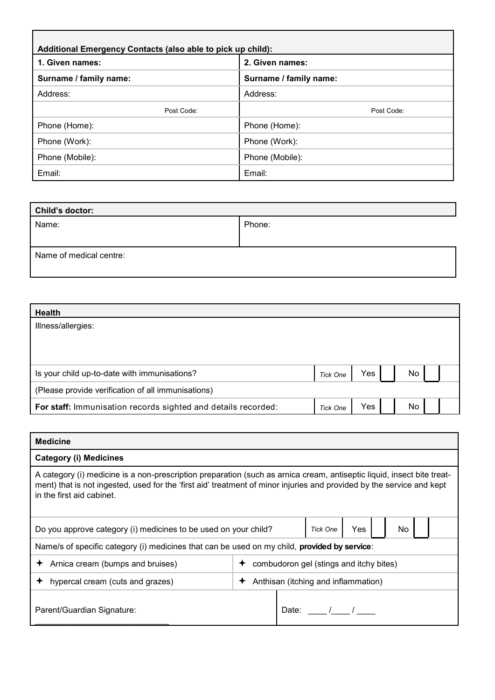| Additional Emergency Contacts (also able to pick up child): |                        |
|-------------------------------------------------------------|------------------------|
| 1. Given names:                                             | 2. Given names:        |
| Surname / family name:                                      | Surname / family name: |
| Address:                                                    | Address:               |
| Post Code:                                                  | Post Code:             |
| Phone (Home):                                               | Phone (Home):          |
| Phone (Work):                                               | Phone (Work):          |
| Phone (Mobile):                                             | Phone (Mobile):        |
| Email:                                                      | Email:                 |

| Child's doctor:         |        |  |
|-------------------------|--------|--|
| Name:                   | Phone: |  |
|                         |        |  |
| Name of medical centre: |        |  |

| <b>Health</b>                                                 |                 |     |    |  |
|---------------------------------------------------------------|-----------------|-----|----|--|
| Illness/allergies:                                            |                 |     |    |  |
|                                                               |                 |     |    |  |
|                                                               |                 |     |    |  |
| Is your child up-to-date with immunisations?                  | <b>Tick One</b> | Yes | No |  |
| (Please provide verification of all immunisations)            |                 |     |    |  |
| For staff: Immunisation records sighted and details recorded: | <b>Tick One</b> | Yes | No |  |

| <b>Medicine</b>                                                                                                                                                                                                                                                              |                                         |  |  |  |  |
|------------------------------------------------------------------------------------------------------------------------------------------------------------------------------------------------------------------------------------------------------------------------------|-----------------------------------------|--|--|--|--|
| <b>Category (i) Medicines</b>                                                                                                                                                                                                                                                |                                         |  |  |  |  |
| A category (i) medicine is a non-prescription preparation (such as arnica cream, antiseptic liquid, insect bite treat-<br>ment) that is not ingested, used for the 'first aid' treatment of minor injuries and provided by the service and kept<br>in the first aid cabinet. |                                         |  |  |  |  |
| Yes<br><b>Tick One</b><br>No<br>Do you approve category (i) medicines to be used on your child?                                                                                                                                                                              |                                         |  |  |  |  |
| Name/s of specific category (i) medicines that can be used on my child, provided by service:                                                                                                                                                                                 |                                         |  |  |  |  |
| $\div$ Arnica cream (bumps and bruises)                                                                                                                                                                                                                                      | combudoron gel (stings and itchy bites) |  |  |  |  |
| hypercal cream (cuts and grazes)                                                                                                                                                                                                                                             | Anthisan (itching and inflammation)     |  |  |  |  |
| Parent/Guardian Signature:                                                                                                                                                                                                                                                   | Date:                                   |  |  |  |  |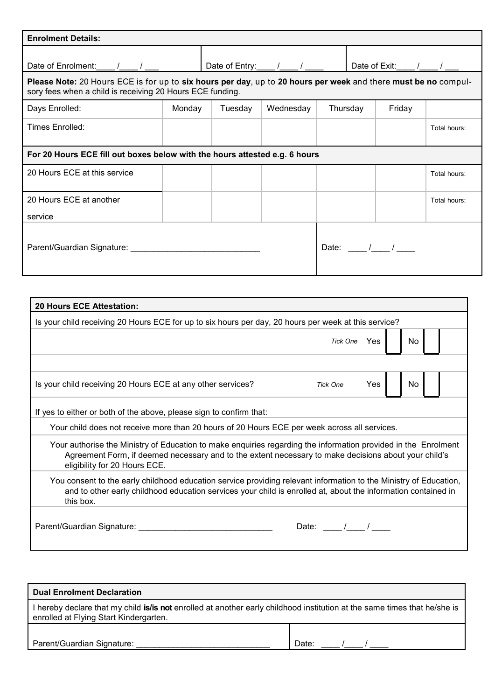| <b>Enrolment Details:</b>                                                                                                                                                   |        |         |                                                                                                                                                                                                                                                                                                                                                                                                          |             |                 |              |
|-----------------------------------------------------------------------------------------------------------------------------------------------------------------------------|--------|---------|----------------------------------------------------------------------------------------------------------------------------------------------------------------------------------------------------------------------------------------------------------------------------------------------------------------------------------------------------------------------------------------------------------|-------------|-----------------|--------------|
| Date of Enrolment: / /                                                                                                                                                      |        |         | Date of Entry: $\frac{1}{1-\frac{1}{1-\frac{1}{1-\frac{1}{1-\frac{1}{1-\frac{1}{1-\frac{1}{1-\frac{1}{1-\frac{1}{1-\frac{1}{1-\frac{1}{1-\frac{1}{1-\frac{1}{1-\frac{1}{1-\frac{1}{1-\frac{1}{1-\frac{1}{1-\frac{1}{1-\frac{1}{1-\frac{1}{1-\frac{1}{1-\frac{1}{1-\frac{1}{1-\frac{1}{1-\frac{1}{1-\frac{1}{1-\frac{1}{1-\frac{1}{1-\frac{1}{1-\frac{1}{1-\frac{1}{1-\frac{1}{1-\frac{1}{1-\frac{1}{1-\$ |             | Date of Exit: / |              |
| Please Note: 20 Hours ECE is for up to six hours per day, up to 20 hours per week and there must be no compul-<br>sory fees when a child is receiving 20 Hours ECE funding. |        |         |                                                                                                                                                                                                                                                                                                                                                                                                          |             |                 |              |
| Days Enrolled:                                                                                                                                                              | Monday | Tuesday | Wednesday                                                                                                                                                                                                                                                                                                                                                                                                | Thursday    | Friday          |              |
| Times Enrolled:                                                                                                                                                             |        |         |                                                                                                                                                                                                                                                                                                                                                                                                          |             |                 | Total hours: |
| For 20 Hours ECE fill out boxes below with the hours attested e.g. 6 hours                                                                                                  |        |         |                                                                                                                                                                                                                                                                                                                                                                                                          |             |                 |              |
| 20 Hours ECE at this service                                                                                                                                                |        |         |                                                                                                                                                                                                                                                                                                                                                                                                          |             |                 | Total hours: |
| 20 Hours ECE at another                                                                                                                                                     |        |         |                                                                                                                                                                                                                                                                                                                                                                                                          |             |                 | Total hours: |
| service                                                                                                                                                                     |        |         |                                                                                                                                                                                                                                                                                                                                                                                                          |             |                 |              |
| Parent/Guardian Signature: 2008 2010 2020 2021 2022 2023 2024 2022 2023 2024 2022 2023 2024 2022 2023 2024 20                                                               |        |         |                                                                                                                                                                                                                                                                                                                                                                                                          | Date: $/$ / |                 |              |

| <b>20 Hours ECE Attestation:</b>                                                                                                                                                                                                                        |                 |     |    |
|---------------------------------------------------------------------------------------------------------------------------------------------------------------------------------------------------------------------------------------------------------|-----------------|-----|----|
| Is your child receiving 20 Hours ECE for up to six hours per day, 20 hours per week at this service?                                                                                                                                                    |                 |     |    |
|                                                                                                                                                                                                                                                         | Tick One Yes    |     | No |
|                                                                                                                                                                                                                                                         |                 |     |    |
| Is your child receiving 20 Hours ECE at any other services?                                                                                                                                                                                             | <b>Tick One</b> | Yes | No |
| If yes to either or both of the above, please sign to confirm that:                                                                                                                                                                                     |                 |     |    |
| Your child does not receive more than 20 hours of 20 Hours ECE per week across all services.                                                                                                                                                            |                 |     |    |
| Your authorise the Ministry of Education to make enquiries regarding the information provided in the Enrolment<br>Agreement Form, if deemed necessary and to the extent necessary to make decisions about your child's<br>eligibility for 20 Hours ECE. |                 |     |    |
| You consent to the early childhood education service providing relevant information to the Ministry of Education,<br>and to other early childhood education services your child is enrolled at, about the information contained in<br>this box.         |                 |     |    |
| Parent/Guardian Signature: _______                                                                                                                                                                                                                      | Date: /         |     |    |

| <b>Dual Enrolment Declaration</b>                                                                                                                                   |       |
|---------------------------------------------------------------------------------------------------------------------------------------------------------------------|-------|
| I hereby declare that my child is/is not enrolled at another early childhood institution at the same times that he/she is<br>enrolled at Flying Start Kindergarten. |       |
|                                                                                                                                                                     |       |
| Parent/Guardian Signature:                                                                                                                                          | Date: |